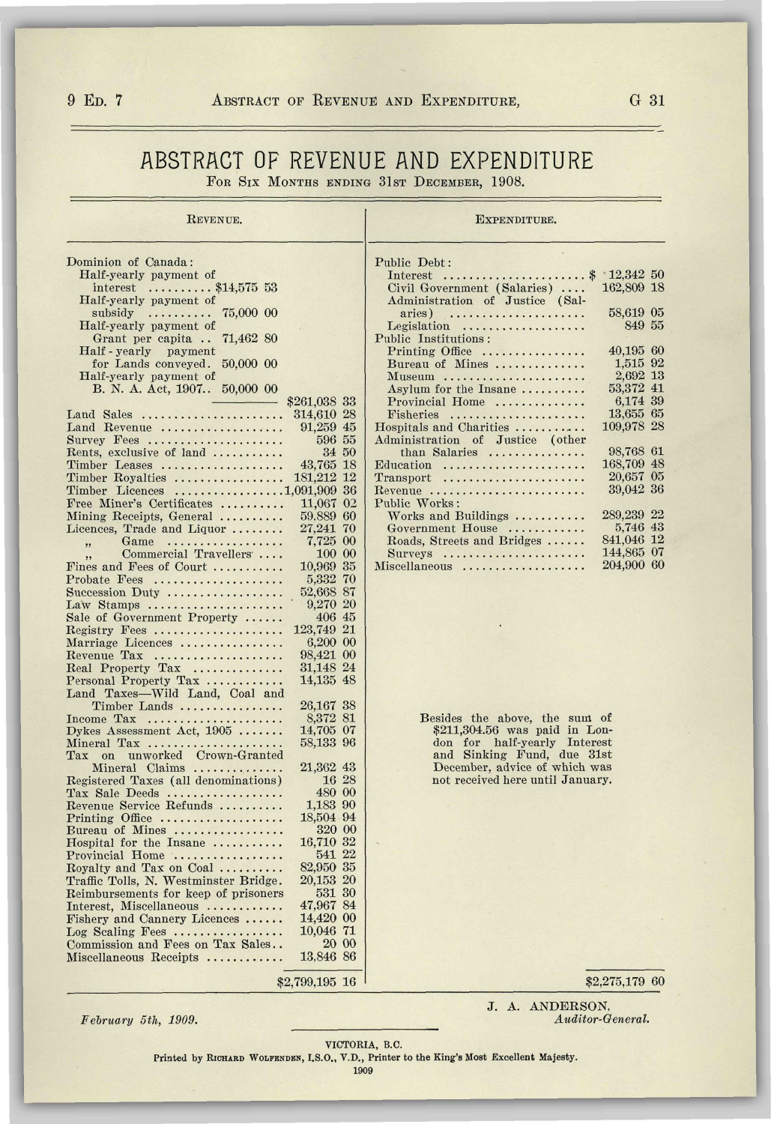## 9 ED. 7 ABSTRACT OF REVENUE AND EXPENDITURE, G 31

## ABSTRACT OF REVENUE AND EXPENDITURE FOR SIX MONTHS ENDING 31ST DECEMBER, 1908.

 $\mathbf{r}$ 

| <b>REVENUE.</b>                                        |                       |              | EXPENDITURE.                          |                        |  |
|--------------------------------------------------------|-----------------------|--------------|---------------------------------------|------------------------|--|
| Dominion of Canada:                                    |                       |              | Public Debt:                          |                        |  |
| Half-yearly payment of                                 |                       |              |                                       | $12.342\ 50$           |  |
| interest $\ldots \ldots \ldots$ \$14,575 53            |                       |              | Civil Government (Salaries)           | 162,809 18             |  |
| Half-yearly payment of                                 |                       |              | Administration of Justice (Sal-       |                        |  |
| subsidy                                                |                       |              | aries)                                | 58,619 05              |  |
| Half-yearly payment of                                 |                       |              | Legislation                           | 849 55                 |  |
| Grant per capita<br>71,462 80                          |                       |              | Public Institutions:                  |                        |  |
| Half-yearly payment                                    |                       |              | $Pritting$ Office                     | 40,195 60<br>1,515 92  |  |
| for Lands conveyed.<br>50,000 00                       |                       |              | Bureau of Mines                       | 2,692 13               |  |
| Half-yearly payment of<br>B. N. A. Act, 1907 50,000 00 |                       |              | Museum<br>Asylum for the Insane       | 53.372 41              |  |
|                                                        | \$261,038 33          |              | Provincial Home                       | 6,174 39               |  |
| Land Sales                                             | 314,610 28            |              | Fisheries                             | 13,655 65              |  |
| Land Revenue                                           | 91,259 45             |              | Hospitals and Charities               | 109,978 28             |  |
| Survey Fees                                            | 596 55                |              | Administration of Justice (other      |                        |  |
| Rents, exclusive of land                               |                       | 34 50        | than Salaries                         | 98,768 61              |  |
| Timber Leases                                          | 43,765 18             |              | Education                             | 168,709 48             |  |
| Timber Royalties                                       | 181,212 12            |              | $Transport$                           | 20,657 05              |  |
| Timber Licences 1,091,909 36                           |                       |              | Revenue                               | 39,042 36              |  |
| Free Miner's Certificates                              | 11,067 02             |              | Public Works:                         |                        |  |
| Mining Receipts, General                               | 59,889 60             |              | Works and Buildings                   | 289,239 22             |  |
| Licences, Trade and Liquor                             | 27,241 70<br>7,725 00 |              | Government House                      | 5,746 43<br>841,046 12 |  |
| Game<br>. <i>.</i> .<br>,,<br>Commercial Travellers    | 100 00                |              | Roads, Streets and Bridges<br>Surveys | 144,865 07             |  |
| Fines and Fees of Court                                | 10.969 35             |              | Miscellaneous                         | 204,900 60             |  |
| Probate Fees                                           | 5,332 70              |              |                                       |                        |  |
| Succession Duty $\dots \dots \dots \dots \dots$        | 52,668 87             |              |                                       |                        |  |
| Law Stamps                                             | 9,270 20              |              |                                       |                        |  |
| Sale of Government Property                            | 406 45                |              |                                       |                        |  |
| $\text{Registry}$ Fees                                 | 123,749 21            |              |                                       |                        |  |
| Marriage Licences                                      | 6,200 00              |              |                                       |                        |  |
| Revenue Tax                                            | 98,421 00             |              |                                       |                        |  |
| Real Property Tax                                      | 31,148 24             |              |                                       |                        |  |
| Personal Property Tax                                  | 14,135 48             |              |                                       |                        |  |
| Land Taxes-Wild Land, Coal and                         |                       |              |                                       |                        |  |
| Timber Lands                                           | 26,167 38<br>8,372 81 |              | Besides the above, the sum of         |                        |  |
| Income $\text{Tax}$<br>Dykes Assessment Act, $1905$    | 14,705 07             |              | \$211,304.56 was paid in Lon-         |                        |  |
| Mineral Tax                                            | 58,133 96             |              | don for half-yearly Interest          |                        |  |
| Tax on unworked Crown-Granted                          |                       |              | and Sinking Fund, due 31st            |                        |  |
| Mineral Claims                                         | 21,362 43             |              | December, advice of which was         |                        |  |
| Registered Taxes (all denominations)                   | 16 28                 |              | not received here until January.      |                        |  |
| Tax Sale Deeds                                         | 480 00                |              |                                       |                        |  |
| Revenue Service Refunds                                | 1,183 90              |              |                                       |                        |  |
| Printing Office                                        | 18,504 94             |              |                                       |                        |  |
| Bureau of Mines                                        | 320 00<br>16,710 32   |              |                                       |                        |  |
| Hospital for the Insane<br>Provincial Home             | 541 22                |              |                                       |                        |  |
| Royalty and Tax on Coal                                | 82,950 35             |              |                                       |                        |  |
| Traffic Tolls, N. Westminster Bridge.                  | 20,153 20             |              |                                       |                        |  |
| Reimbursements for keep of prisoners                   | 531 30                |              |                                       |                        |  |
| Interest, Miscellaneous                                | 47,967 84             |              |                                       |                        |  |
| Fishery and Cannery Licences                           | 14,420 00             |              |                                       |                        |  |
| Log Scaling Fees                                       | 10.046 71             |              |                                       |                        |  |
| Commission and Fees on Tax Sales                       |                       | <b>20 00</b> |                                       |                        |  |
| Miscellaneous Receipts                                 | 13,846 86             |              |                                       |                        |  |
|                                                        |                       |              |                                       |                        |  |
|                                                        | \$2,799,195 16        |              |                                       | \$2,275,179 60         |  |

*February 5th, 1909.* 

J. A. ANDERSON. *Auditor-General.* 

VICTORIA, B.C.

Printed by RICHARD WOLFENDEN, I.S.O., V.D., Printer to the King's Most Excellent Majesty.

1909